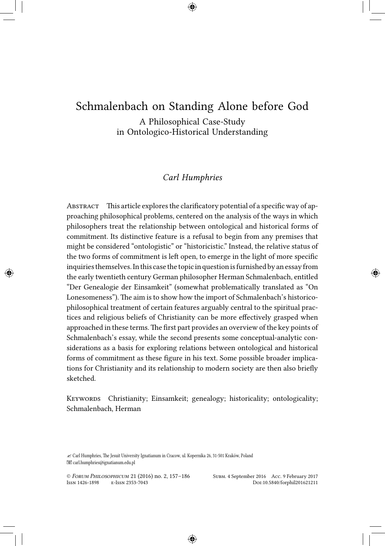# Schmalenbach on Standing Alone before God

A Philosophical Case-Study in Ontologico-Historical Understanding

## *Carl Humphries*

Abstract This article explores the clarificatory potential of a specific way of approaching philosophical problems, centered on the analysis of the ways in which philosophers treat the relationship between ontological and historical forms of commitment. Its distinctive feature is a refusal to begin from any premises that might be considered "ontologistic" or "historicistic." Instead, the relative status of the two forms of commitment is left open, to emerge in the light of more specific inquiries themselves.In this case the topic in question is furnished by an essay from the early twentieth century German philosopher Herman Schmalenbach, entitled "Der Genealogie der Einsamkeit" (somewhat problematically translated as "On Lonesomeness"). The aim is to show how the import of Schmalenbach's historicophilosophical treatment of certain features arguably central to the spiritual practices and religious beliefs of Christianity can be more effectively grasped when approached in these terms. The first part provides an overview of the key points of Schmalenbach's essay, while the second presents some conceptual-analytic considerations as a basis for exploring relations between ontological and historical forms of commitment as these figure in his text. Some possible broader implications for Christianity and its relationship to modern society are then also briefly sketched.

KEYWORDS Christianity; Einsamkeit; genealogy; historicality; ontologicality; Schmalenbach, Herman

✍ Carl Humphries, The Jesuit University Ignatianum in Cracow, ul. Kopernika 26, 31-501 Kraków, Poland carl.humphries@ignatianum.edu.pl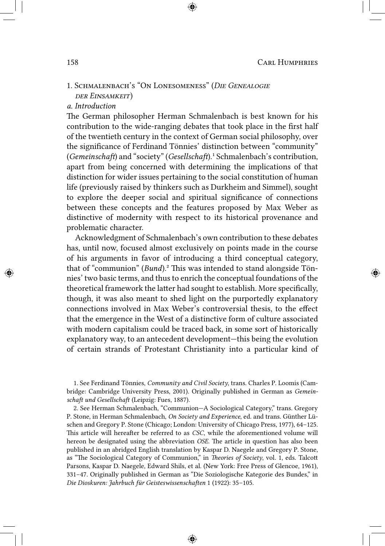# 1. Schmalenbach's "On Lonesomeness" (*Die Genealogie der Einsamkeit*)

### *a. Introduction*

The German philosopher Herman Schmalenbach is best known for his contribution to the wide-ranging debates that took place in the first half of the twentieth century in the context of German social philosophy, over the significance of Ferdinand Tönnies' distinction between "community" (*Gemeinschaft*) and "society" (*Gesellschaft*).<sup>1</sup> Schmalenbach's contribution, apart from being concerned with determining the implications of that distinction for wider issues pertaining to the social constitution of human life (previously raised by thinkers such as Durkheim and Simmel), sought to explore the deeper social and spiritual significance of connections between these concepts and the features proposed by Max Weber as distinctive of modernity with respect to its historical provenance and problematic character.

Acknowledgment of Schmalenbach's own contribution to these debates has, until now, focused almost exclusively on points made in the course of his arguments in favor of introducing a third conceptual category, that of "communion" (*Bund*).² This was intended to stand alongside Tönnies' two basic terms, and thus to enrich the conceptual foundations of the theoretical framework the latter had sought to establish. More specifically, though, it was also meant to shed light on the purportedly explanatory connections involved in Max Weber's controversial thesis, to the effect that the emergence in the West of a distinctive form of culture associated with modern capitalism could be traced back, in some sort of historically explanatory way, to an antecedent development—this being the evolution of certain strands of Protestant Christianity into a particular kind of

1. See Ferdinand Tönnies, *Community and Civil Society*, trans. Charles P. Loomis (Cambridge: Cambridge University Press, 2001). Originally published in German as *Gemeinschaft und Gesellschaft* (Leipzig: Fues, 1887).

2. See Herman Schmalenbach, "Communion—A Sociological Category," trans. Gregory P. Stone, in Herman Schmalenbach, *On Society and Experience*, ed. and trans. Günther Lüschen and Gregory P. Stone (Chicago; London: University of Chicago Press, 1977), 64–125. This article will hereafter be referred to as *CSC*, while the aforementioned volume will hereon be designated using the abbreviation *OSE*. The article in question has also been published in an abridged English translation by Kaspar D. Naegele and Gregory P. Stone, as "The Sociological Category of Communion," in *Theories of Society*, vol. 1, eds. Talcott Parsons, Kaspar D. Naegele, Edward Shils, et al. (New York: Free Press of Glencoe, 1961), 331–47. Originally published in German as "Die Soziologische Kategorie des Bundes," in *Die Dioskuren: Jahrbuch für Geisteswissenschaften* 1 (1922): 35–105.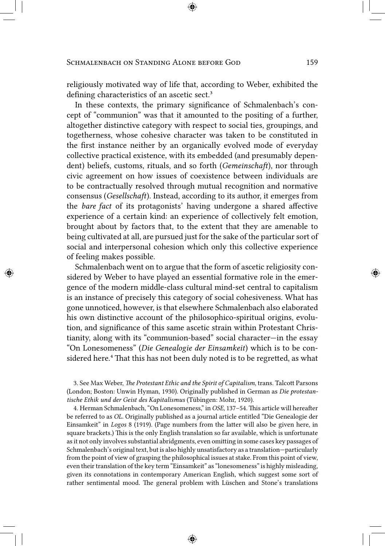religiously motivated way of life that, according to Weber, exhibited the defining characteristics of an ascetic sect.<sup>3</sup>

In these contexts, the primary significance of Schmalenbach's concept of "communion" was that it amounted to the positing of a further, altogether distinctive category with respect to social ties, groupings, and togetherness, whose cohesive character was taken to be constituted in the first instance neither by an organically evolved mode of everyday collective practical existence, with its embedded (and presumably dependent) beliefs, customs, rituals, and so forth (*Gemeinschaft*), nor through civic agreement on how issues of coexistence between individuals are to be contractually resolved through mutual recognition and normative consensus (*Gesellschaft*). Instead, according to its author, it emerges from the *bare fact* of its protagonists' having undergone a shared affective experience of a certain kind: an experience of collectively felt emotion, brought about by factors that, to the extent that they are amenable to being cultivated at all, are pursued just for the sake of the particular sort of social and interpersonal cohesion which only this collective experience of feeling makes possible.

Schmalenbach went on to argue that the form of ascetic religiosity considered by Weber to have played an essential formative role in the emergence of the modern middle-class cultural mind-set central to capitalism is an instance of precisely this category of social cohesiveness. What has gone unnoticed, however, is that elsewhere Schmalenbach also elaborated his own distinctive account of the philosophico-spiritual origins, evolution, and significance of this same ascetic strain within Protestant Christianity, along with its "communion-based" social character—in the essay "On Lonesomeness" (*Die Genealogie der Einsamkeit*) which is to be considered here.<sup>4</sup> That this has not been duly noted is to be regretted, as what

3. See Max Weber, *The Protestant Ethic and the Spirit of Capitalism*, trans. Talcott Parsons (London; Boston: Unwin Hyman, 1930). Originally published in German as *Die protestantische Ethik und der Geist des Kapitalismus* (Tübingen: Mohr, 1920).

4. Herman Schmalenbach, "On Lonesomeness," in *OSE*, 137–54. This article will hereafter be referred to as *OL*. Originally published as a journal article entitled "Die Genealogie der Einsamkeit" in *Logos* 8 (1919). (Page numbers from the latter will also be given here, in square brackets.) This is the only English translation so far available, which is unfortunate as it not only involves substantial abridgments, even omitting in some cases key passages of Schmalenbach's original text, but is also highly unsatisfactory as a translation—particularly from the point of view of grasping the philosophical issues at stake. From this point of view, even their translation of the key term "Einsamkeit" as "lonesomeness" is highly misleading, given its connotations in contemporary American English, which suggest some sort of rather sentimental mood. The general problem with Lüschen and Stone's translations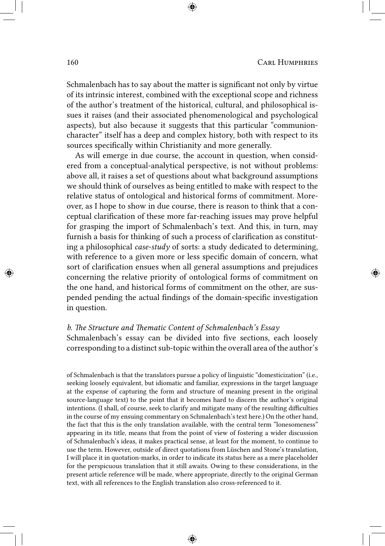Schmalenbach has to say about the matter is significant not only by virtue of its intrinsic interest, combined with the exceptional scope and richness of the author's treatment of the historical, cultural, and philosophical issues it raises (and their associated phenomenological and psychological aspects), but also because it suggests that this particular "communioncharacter" itself has a deep and complex history, both with respect to its sources specifically within Christianity and more generally.

As will emerge in due course, the account in question, when considered from a conceptual-analytical perspective, is not without problems: above all, it raises a set of questions about what background assumptions we should think of ourselves as being entitled to make with respect to the relative status of ontological and historical forms of commitment. Moreover, as I hope to show in due course, there is reason to think that a conceptual clarification of these more far-reaching issues may prove helpful for grasping the import of Schmalenbach's text. And this, in turn, may furnish a basis for thinking of such a process of clarification as constituting a philosophical *case-study* of sorts: a study dedicated to determining, with reference to a given more or less specific domain of concern, what sort of clarification ensues when all general assumptions and prejudices concerning the relative priority of ontological forms of commitment on the one hand, and historical forms of commitment on the other, are suspended pending the actual findings of the domain-specific investigation in question.

#### *b. The Structure and Thematic Content of Schmalenbach's Essay*

Schmalenbach's essay can be divided into five sections, each loosely corresponding to a distinct sub-topic within the overall area of the author's

of Schmalenbach is that the translators pursue a policy of linguistic "domesticization" (i.e., seeking loosely equivalent, but idiomatic and familiar, expressions in the target language at the expense of capturing the form and structure of meaning present in the original source-language text) to the point that it becomes hard to discern the author's original intentions. (I shall, of course, seek to clarify and mitigate many of the resulting difficulties in the course of my ensuing commentary on Schmalenbach's text here.) On the other hand, the fact that this is the only translation available, with the central term "lonesomeness" appearing in its title, means that from the point of view of fostering a wider discussion of Schmalenbach's ideas, it makes practical sense, at least for the moment, to continue to use the term. However, outside of direct quotations from Lüschen and Stone's translation, I will place it in quotation-marks, in order to indicate its status here as a mere placeholder for the perspicuous translation that it still awaits. Owing to these considerations, in the present article reference will be made, where appropriate, directly to the original German text, with all references to the English translation also cross-referenced to it.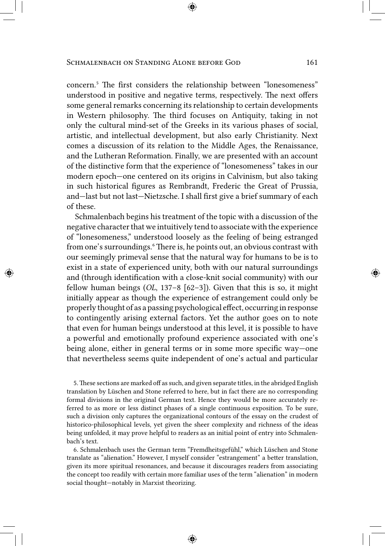concern.<sup>5</sup> The first considers the relationship between "lonesomeness" understood in positive and negative terms, respectively. The next offers some general remarks concerning its relationship to certain developments in Western philosophy. The third focuses on Antiquity, taking in not only the cultural mind-set of the Greeks in its various phases of social, artistic, and intellectual development, but also early Christianity. Next comes a discussion of its relation to the Middle Ages, the Renaissance, and the Lutheran Reformation. Finally, we are presented with an account of the distinctive form that the experience of "lonesomeness" takes in our modern epoch—one centered on its origins in Calvinism, but also taking in such historical figures as Rembrandt, Frederic the Great of Prussia, and—last but not last—Nietzsche. I shall first give a brief summary of each of these.

Schmalenbach begins his treatment of the topic with a discussion of the negative character that we intuitively tend to associate with the experience of "lonesomeness," understood loosely as the feeling of being estranged from one's surroundings.<sup>6</sup> There is, he points out, an obvious contrast with our seemingly primeval sense that the natural way for humans to be is to exist in a state of experienced unity, both with our natural surroundings and (through identification with a close-knit social community) with our fellow human beings (*OL*, 137–8 [62–3]). Given that this is so, it might initially appear as though the experience of estrangement could only be properly thought of as a passing psychological effect, occurring in response to contingently arising external factors. Yet the author goes on to note that even for human beings understood at this level, it is possible to have a powerful and emotionally profound experience associated with one's being alone, either in general terms or in some more specific way—one that nevertheless seems quite independent of one's actual and particular

5.These sections are marked off as such, and given separate titles, in the abridged English translation by Lüschen and Stone referred to here, but in fact there are no corresponding formal divisions in the original German text. Hence they would be more accurately referred to as more or less distinct phases of a single continuous exposition. To be sure, such a division only captures the organizational contours of the essay on the crudest of historico-philosophical levels, yet given the sheer complexity and richness of the ideas being unfolded, it may prove helpful to readers as an initial point of entry into Schmalenbach's text.

6. Schmalenbach uses the German term "Fremdheitsgefühl," which Lüschen and Stone translate as "alienation." However, I myself consider "estrangement" a better translation, given its more spiritual resonances, and because it discourages readers from associating the concept too readily with certain more familiar uses of the term "alienation" in modern social thought—notably in Marxist theorizing.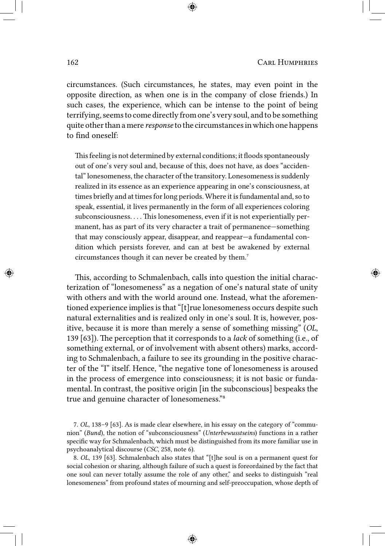circumstances. (Such circumstances, he states, may even point in the opposite direction, as when one is in the company of close friends.) In such cases, the experience, which can be intense to the point of being terrifying, seems to come directly from one's very soul, and to be something quite other than a mere *response* to the circumstances in which one happens to find oneself:

This feeling is not determined by external conditions; it floods spontaneously out of one's very soul and, because of this, does not have, as does "accidental" lonesomeness, the character of the transitory. Lonesomeness is suddenly realized in its essence as an experience appearing in one's consciousness, at times briefly and at times for long periods. Where it is fundamental and, so to speak, essential, it lives permanently in the form of all experiences coloring subconsciousness. . . . This lonesomeness, even if it is not experientially permanent, has as part of its very character a trait of permanence—something that may consciously appear, disappear, and reappear—a fundamental condition which persists forever, and can at best be awakened by external circumstances though it can never be created by them.<sup>7</sup>

This, according to Schmalenbach, calls into question the initial characterization of "lonesomeness" as a negation of one's natural state of unity with others and with the world around one. Instead, what the aforementioned experience implies is that "[t]rue lonesomeness occurs despite such natural externalities and is realized only in one's soul. It is, however, positive, because it is more than merely a sense of something missing" (*OL*, 139 [63]). The perception that it corresponds to a *lack* of something (i.e., of something external, or of involvement with absent others) marks, according to Schmalenbach, a failure to see its grounding in the positive character of the "I" itself. Hence, "the negative tone of lonesomeness is aroused in the process of emergence into consciousness; it is not basic or fundamental. In contrast, the positive origin [in the subconscious] bespeaks the true and genuine character of lonesomeness."<sup>8</sup>

7. *OL*, 138–9 [63]. As is made clear elsewhere, in his essay on the category of "communion" (*Bund*), the notion of "subconsciousness" (*Unterbewusstseins*) functions in a rather specific way for Schmalenbach, which must be distinguished from its more familiar use in psychoanalytical discourse (*CSC*, 258, note 6).

8. *OL*, 139 [63]. Schmalenbach also states that "[t]he soul is on a permanent quest for social cohesion or sharing, although failure of such a quest is foreordained by the fact that one soul can never totally assume the role of any other," and seeks to distinguish "real lonesomeness" from profound states of mourning and self-preoccupation, whose depth of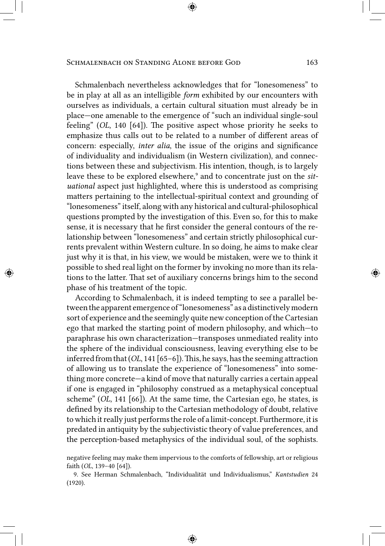Schmalenbach nevertheless acknowledges that for "lonesomeness" to be in play at all as an intelligible *form* exhibited by our encounters with ourselves as individuals, a certain cultural situation must already be in place—one amenable to the emergence of "such an individual single-soul feeling" (*OL*, 140 [64]). The positive aspect whose priority he seeks to emphasize thus calls out to be related to a number of different areas of concern: especially, *inter alia*, the issue of the origins and significance of individuality and individualism (in Western civilization), and connections between these and subjectivism. His intention, though, is to largely leave these to be explored elsewhere,<sup>9</sup> and to concentrate just on the *situational* aspect just highlighted, where this is understood as comprising matters pertaining to the intellectual-spiritual context and grounding of "lonesomeness" itself, along with any historical and cultural-philosophical questions prompted by the investigation of this. Even so, for this to make sense, it is necessary that he first consider the general contours of the relationship between "lonesomeness" and certain strictly philosophical currents prevalent within Western culture. In so doing, he aims to make clear just why it is that, in his view, we would be mistaken, were we to think it possible to shed real light on the former by invoking no more than its relations to the latter. That set of auxiliary concerns brings him to the second phase of his treatment of the topic.

According to Schmalenbach, it is indeed tempting to see a parallel between the apparent emergence of "lonesomeness" as a distinctivelymodern sort of experience and the seemingly quite new conception of the Cartesian ego that marked the starting point of modern philosophy, and which—to paraphrase his own characterization—transposes unmediated reality into the sphere of the individual consciousness, leaving everything else to be inferred from that(*OL*, 141 [65–6]).This, he says, has the seeming attraction of allowing us to translate the experience of "lonesomeness" into something more concrete—a kind of move that naturally carries a certain appeal if one is engaged in "philosophy construed as a metaphysical conceptual scheme" (*OL*, 141 [66]). At the same time, the Cartesian ego, he states, is defined by its relationship to the Cartesian methodology of doubt, relative to which it really just performs the role of a limit-concept. Furthermore, it is predated in antiquity by the subjectivistic theory of value preferences, and the perception-based metaphysics of the individual soul, of the sophists.

negative feeling may make them impervious to the comforts of fellowship, art or religious faith (*OL*, 139–40 [64]).

<sup>9.</sup> See Herman Schmalenbach, "Individualität und Individualismus," *Kantstudien* 24 (1920).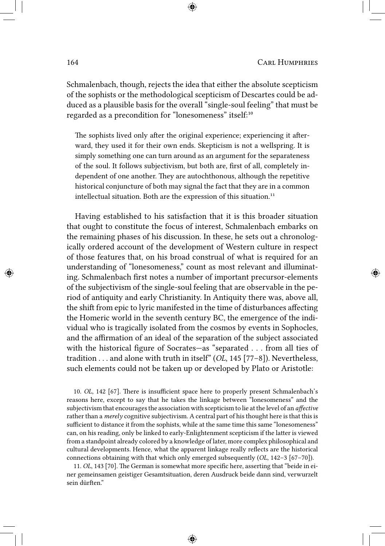Schmalenbach, though, rejects the idea that either the absolute scepticism of the sophists or the methodological scepticism of Descartes could be adduced as a plausible basis for the overall "single-soul feeling" that must be regarded as a precondition for "lonesomeness" itself:<sup>10</sup>

The sophists lived only after the original experience; experiencing it afterward, they used it for their own ends. Skepticism is not a wellspring. It is simply something one can turn around as an argument for the separateness of the soul. It follows subjectivism, but both are, first of all, completely independent of one another. They are autochthonous, although the repetitive historical conjuncture of both may signal the fact that they are in a common intellectual situation. Both are the expression of this situation.<sup>11</sup>

Having established to his satisfaction that it is this broader situation that ought to constitute the focus of interest, Schmalenbach embarks on the remaining phases of his discussion. In these, he sets out a chronologically ordered account of the development of Western culture in respect of those features that, on his broad construal of what is required for an understanding of "lonesomeness," count as most relevant and illuminating. Schmalenbach first notes a number of important precursor-elements of the subjectivism of the single-soul feeling that are observable in the period of antiquity and early Christianity. In Antiquity there was, above all, the shift from epic to lyric manifested in the time of disturbances affecting the Homeric world in the seventh century BC, the emergence of the individual who is tragically isolated from the cosmos by events in Sophocles, and the affirmation of an ideal of the separation of the subject associated with the historical figure of Socrates—as "separated . . . from all ties of tradition . . . and alone with truth in itself" (*OL*, 145 [77–8]). Nevertheless, such elements could not be taken up or developed by Plato or Aristotle:

10. *OL*, 142 [67]. There is insufficient space here to properly present Schmalenbach's reasons here, except to say that he takes the linkage between "lonesomeness" and the subjectivism that encourages the association with scepticism to lie at the level of an *affective* rather than a *merely* cognitive subjectivism. A central part of his thought here is that this is sufficient to distance it from the sophists, while at the same time this same "lonesomeness" can, on his reading, only be linked to early-Enlightenment scepticism if the latter is viewed from a standpoint already colored by a knowledge of later, more complex philosophical and cultural developments. Hence, what the apparent linkage really reflects are the historical connections obtaining with that which only emerged subsequently (*OL*, 142–3 [67–70]).

11. *OL*, 143 [70]. The German is somewhat more specific here, asserting that "beide in einer gemeinsamen geistiger Gesamtsituation, deren Ausdruck beide dann sind, verwurzelt sein dürften."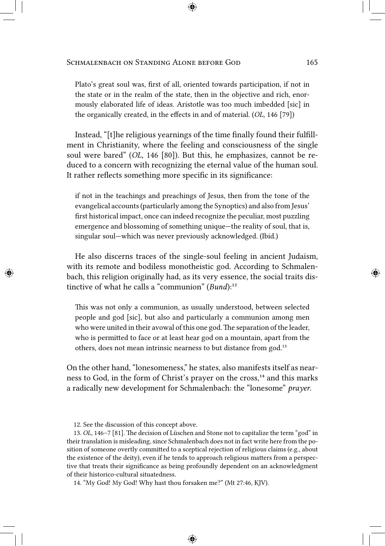Plato's great soul was, first of all, oriented towards participation, if not in the state or in the realm of the state, then in the objective and rich, enormously elaborated life of ideas. Aristotle was too much imbedded [sic] in the organically created, in the effects in and of material. (*OL*, 146 [79])

Instead, "[t]he religious yearnings of the time finally found their fulfillment in Christianity, where the feeling and consciousness of the single soul were bared" (*OL*, 146 [80]). But this, he emphasizes, cannot be reduced to a concern with recognizing the eternal value of the human soul. It rather reflects something more specific in its significance:

if not in the teachings and preachings of Jesus, then from the tone of the evangelical accounts (particularly among the Synoptics) and also from Jesus' first historical impact, once can indeed recognize the peculiar, most puzzling emergence and blossoming of something unique—the reality of soul, that is, singular soul—which was never previously acknowledged. (Ibid.)

He also discerns traces of the single-soul feeling in ancient Judaism, with its remote and bodiless monotheistic god. According to Schmalenbach, this religion originally had, as its very essence, the social traits distinctive of what he calls a "communion" (*Bund*):<sup>12</sup>

This was not only a communion, as usually understood, between selected people and god [sic], but also and particularly a communion among men who were united in their avowal of this one god. The separation of the leader, who is permitted to face or at least hear god on a mountain, apart from the others, does not mean intrinsic nearness to but distance from god.<sup>13</sup>

On the other hand, "lonesomeness," he states, also manifests itself as nearness to God, in the form of Christ's prayer on the cross,<sup>14</sup> and this marks a radically new development for Schmalenbach: the "lonesome" *prayer*.

12. See the discussion of this concept above.

13. *OL*, 146–7 [81]. The decision of Lüschen and Stone not to capitalize the term "god" in their translation is misleading, since Schmalenbach does not in fact write here from the position of someone overtly committed to a sceptical rejection of religious claims (e.g., about the existence of the deity), even if he tends to approach religious matters from a perspective that treats their significance as being profoundly dependent on an acknowledgment of their historico-cultural situatedness.

14. "My God! My God! Why hast thou forsaken me?" (Mt 27:46, KJV).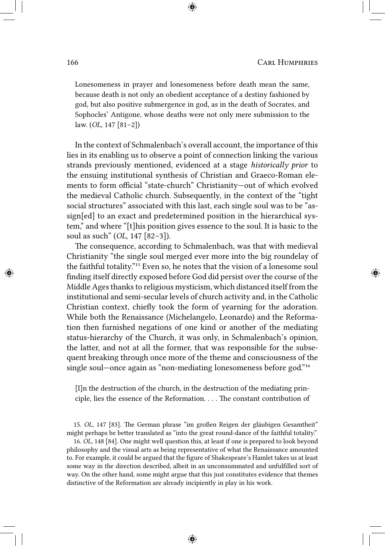Lonesomeness in prayer and lonesomeness before death mean the same, because death is not only an obedient acceptance of a destiny fashioned by god, but also positive submergence in god, as in the death of Socrates, and Sophocles' Antigone, whose deaths were not only mere submission to the law. (*OL*, 147 [81–2])

In the context of Schmalenbach's overall account, the importance of this lies in its enabling us to observe a point of connection linking the various strands previously mentioned, evidenced at a stage *historically prior* to the ensuing institutional synthesis of Christian and Graeco-Roman elements to form official "state-church" Christianity—out of which evolved the medieval Catholic church. Subsequently, in the context of the "tight social structures" associated with this last, each single soul was to be "assign[ed] to an exact and predetermined position in the hierarchical system," and where "[t]his position gives essence to the soul. It is basic to the soul as such" (*OL*, 147 [82–3]).

The consequence, according to Schmalenbach, was that with medieval Christianity "the single soul merged ever more into the big roundelay of the faithful totality."<sup>15</sup> Even so, he notes that the vision of a lonesome soul finding itself directly exposed before God did persist over the course of the Middle Ages thanks to religious mysticism, which distanced itself from the institutional and semi-secular levels of church activity and, in the Catholic Christian context, chiefly took the form of yearning for the adoration. While both the Renaissance (Michelangelo, Leonardo) and the Reformation then furnished negations of one kind or another of the mediating status-hierarchy of the Church, it was only, in Schmalenbach's opinion, the latter, and not at all the former, that was responsible for the subsequent breaking through once more of the theme and consciousness of the single soul—once again as "non-mediating lonesomeness before god."<sup>16</sup>

[I]n the destruction of the church, in the destruction of the mediating principle, lies the essence of the Reformation. . . . The constant contribution of

15. *OL*, 147 [83]. The German phrase "im großen Reigen der gläubigen Gesamtheit" might perhaps be better translated as "into the great round-dance of the faithful totality."

16. *OL*, 148 [84]. One might well question this, at least if one is prepared to look beyond philosophy and the visual arts as being representative of what the Renaissance amounted to. For example, it could be argued that the figure of Shakespeare's Hamlet takes us at least some way in the direction described, albeit in an unconsummated and unfulfilled sort of way. On the other hand, some might argue that this just constitutes evidence that themes distinctive of the Reformation are already incipiently in play in his work.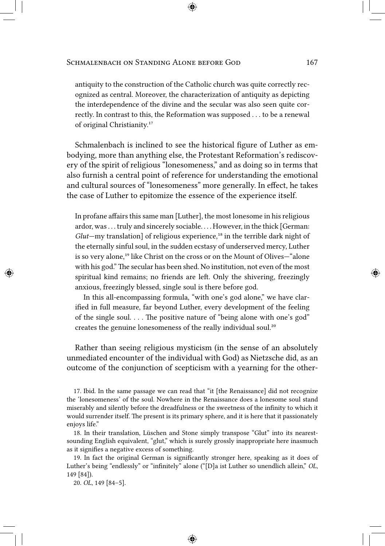antiquity to the construction of the Catholic church was quite correctly recognized as central. Moreover, the characterization of antiquity as depicting the interdependence of the divine and the secular was also seen quite correctly. In contrast to this, the Reformation was supposed . . . to be a renewal of original Christianity.<sup>17</sup>

Schmalenbach is inclined to see the historical figure of Luther as embodying, more than anything else, the Protestant Reformation's rediscovery of the spirit of religious "lonesomeness," and as doing so in terms that also furnish a central point of reference for understanding the emotional and cultural sources of "lonesomeness" more generally. In effect, he takes the case of Luther to epitomize the essence of the experience itself.

In profane affairs this same man [Luther], the most lonesome in his religious ardor, was . . . truly and sincerely sociable. . . . However, in the thick [German: *Glut*—my translation] of religious experience,<sup>18</sup> in the terrible dark night of the eternally sinful soul, in the sudden ecstasy of underserved mercy, Luther is so very alone,<sup>19</sup> like Christ on the cross or on the Mount of Olives-"alone with his god." The secular has been shed. No institution, not even of the most spiritual kind remains; no friends are left. Only the shivering, freezingly anxious, freezingly blessed, single soul is there before god.

In this all-encompassing formula, "with one's god alone," we have clarified in full measure, far beyond Luther, every development of the feeling of the single soul. . . . The positive nature of "being alone with one's god" creates the genuine lonesomeness of the really individual soul.<sup>20</sup>

Rather than seeing religious mysticism (in the sense of an absolutely unmediated encounter of the individual with God) as Nietzsche did, as an outcome of the conjunction of scepticism with a yearning for the other-

17. Ibid. In the same passage we can read that "it [the Renaissance] did not recognize the 'lonesomeness' of the soul. Nowhere in the Renaissance does a lonesome soul stand miserably and silently before the dreadfulness or the sweetness of the infinity to which it would surrender itself. The present is its primary sphere, and it is here that it passionately enjoys life."

18. In their translation, Lüschen and Stone simply transpose "Glut" into its nearestsounding English equivalent, "glut," which is surely grossly inappropriate here inasmuch as it signifies a negative excess of something.

19. In fact the original German is significantly stronger here, speaking as it does of Luther's being "endlessly" or "infinitely" alone ("[D]a ist Luther so unendlich allein," *OL*, 149 [84]).

20. *OL*, 149 [84–5].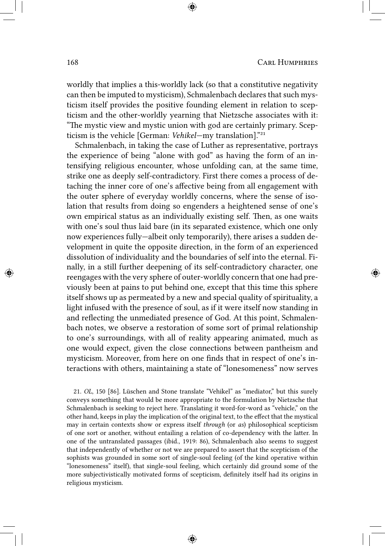worldly that implies a this-worldly lack (so that a constitutive negativity can then be imputed to mysticism), Schmalenbach declares that such mysticism itself provides the positive founding element in relation to scepticism and the other-worldly yearning that Nietzsche associates with it: "The mystic view and mystic union with god are certainly primary. Scepticism is the vehicle [German: *Vehikel*—my translation]."<sup>21</sup>

Schmalenbach, in taking the case of Luther as representative, portrays the experience of being "alone with god" as having the form of an intensifying religious encounter, whose unfolding can, at the same time, strike one as deeply self-contradictory. First there comes a process of detaching the inner core of one's affective being from all engagement with the outer sphere of everyday worldly concerns, where the sense of isolation that results from doing so engenders a heightened sense of one's own empirical status as an individually existing self. Then, as one waits with one's soul thus laid bare (in its separated existence, which one only now experiences fully—albeit only temporarily), there arises a sudden development in quite the opposite direction, in the form of an experienced dissolution of individuality and the boundaries of self into the eternal. Finally, in a still further deepening of its self-contradictory character, one reengages with the very sphere of outer-worldly concern that one had previously been at pains to put behind one, except that this time this sphere itself shows up as permeated by a new and special quality of spirituality, a light infused with the presence of soul, as if it were itself now standing in and reflecting the unmediated presence of God. At this point, Schmalenbach notes, we observe a restoration of some sort of primal relationship to one's surroundings, with all of reality appearing animated, much as one would expect, given the close connections between pantheism and mysticism. Moreover, from here on one finds that in respect of one's interactions with others, maintaining a state of "lonesomeness" now serves

21. *OL*, 150 [86]. Lüschen and Stone translate "Vehikel" as "mediator," but this surely conveys something that would be more appropriate to the formulation by Nietzsche that Schmalenbach is seeking to reject here. Translating it word-for-word as "vehicle," on the other hand, keeps in play the implication of the original text, to the effect that the mystical may in certain contexts show or express itself *through* (or *as*) philosophical scepticism of one sort or another, without entailing a relation of co-dependency with the latter. In one of the untranslated passages (ibid., 1919: 86), Schmalenbach also seems to suggest that independently of whether or not we are prepared to assert that the scepticism of the sophists was grounded in some sort of single-soul feeling (of the kind operative within "lonesomeness" itself), that single-soul feeling, which certainly did ground some of the more subjectivistically motivated forms of scepticism, definitely itself had its origins in religious mysticism.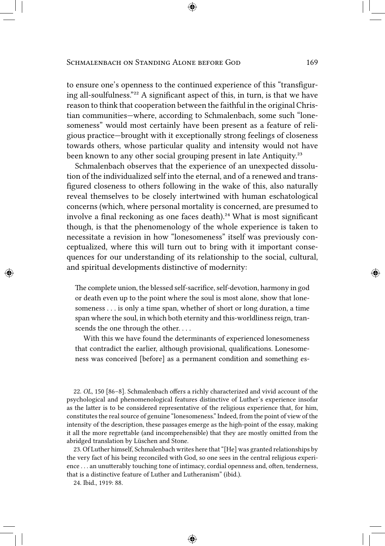to ensure one's openness to the continued experience of this "transfiguring all-soulfulness."²² A significant aspect of this, in turn, is that we have reason to think that cooperation between the faithful in the original Christian communities—where, according to Schmalenbach, some such "lonesomeness" would most certainly have been present as a feature of religious practice—brought with it exceptionally strong feelings of closeness towards others, whose particular quality and intensity would not have been known to any other social grouping present in late Antiquity.<sup>23</sup>

Schmalenbach observes that the experience of an unexpected dissolution of the individualized self into the eternal, and of a renewed and transfigured closeness to others following in the wake of this, also naturally reveal themselves to be closely intertwined with human eschatological concerns (which, where personal mortality is concerned, are presumed to involve a final reckoning as one faces death).<sup>24</sup> What is most significant though, is that the phenomenology of the whole experience is taken to necessitate a revision in how "lonesomeness" itself was previously conceptualized, where this will turn out to bring with it important consequences for our understanding of its relationship to the social, cultural, and spiritual developments distinctive of modernity:

The complete union, the blessed self-sacrifice, self-devotion, harmony in god or death even up to the point where the soul is most alone, show that lonesomeness . . . is only a time span, whether of short or long duration, a time span where the soul, in which both eternity and this-worldliness reign, transcends the one through the other....

With this we have found the determinants of experienced lonesomeness that contradict the earlier, although provisional, qualifications. Lonesomeness was conceived [before] as a permanent condition and something es-

22. *OL*, 150 [86–8]. Schmalenbach offers a richly characterized and vivid account of the psychological and phenomenological features distinctive of Luther's experience insofar as the latter is to be considered representative of the religious experience that, for him, constitutes the real source of genuine "lonesomeness." Indeed, from the point of view of the intensity of the description, these passages emerge as the high-point of the essay, making it all the more regrettable (and incomprehensible) that they are mostly omitted from the abridged translation by Lüschen and Stone.

23. Of Luther himself, Schmalenbach writes here that "[He] was granted relationships by the very fact of his being reconciled with God, so one sees in the central religious experience . . . an unutterably touching tone of intimacy, cordial openness and, often, tenderness, that is a distinctive feature of Luther and Lutheranism" (ibid.).

24. Ibid., 1919: 88.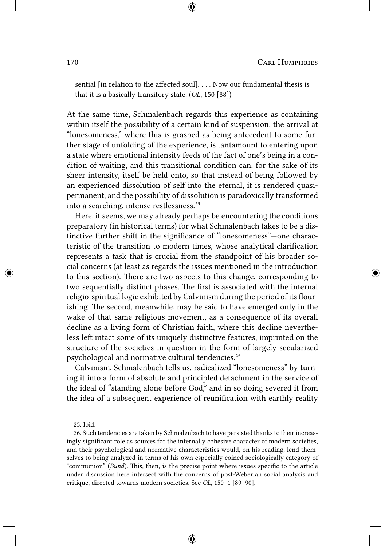sential [in relation to the affected soul]. . . . Now our fundamental thesis is that it is a basically transitory state. (*OL*, 150 [88])

At the same time, Schmalenbach regards this experience as containing within itself the possibility of a certain kind of suspension: the arrival at "lonesomeness," where this is grasped as being antecedent to some further stage of unfolding of the experience, is tantamount to entering upon a state where emotional intensity feeds of the fact of one's being in a condition of waiting, and this transitional condition can, for the sake of its sheer intensity, itself be held onto, so that instead of being followed by an experienced dissolution of self into the eternal, it is rendered quasipermanent, and the possibility of dissolution is paradoxically transformed into a searching, intense restlessness.<sup>25</sup>

Here, it seems, we may already perhaps be encountering the conditions preparatory (in historical terms) for what Schmalenbach takes to be a distinctive further shift in the significance of "lonesomeness"—one characteristic of the transition to modern times, whose analytical clarification represents a task that is crucial from the standpoint of his broader social concerns (at least as regards the issues mentioned in the introduction to this section). There are two aspects to this change, corresponding to two sequentially distinct phases. The first is associated with the internal religio-spiritual logic exhibited by Calvinism during the period of its flourishing. The second, meanwhile, may be said to have emerged only in the wake of that same religious movement, as a consequence of its overall decline as a living form of Christian faith, where this decline nevertheless left intact some of its uniquely distinctive features, imprinted on the structure of the societies in question in the form of largely secularized psychological and normative cultural tendencies.<sup>26</sup>

Calvinism, Schmalenbach tells us, radicalized "lonesomeness" by turning it into a form of absolute and principled detachment in the service of the ideal of "standing alone before God," and in so doing severed it from the idea of a subsequent experience of reunification with earthly reality

25. Ibid.

26. Such tendencies are taken by Schmalenbach to have persisted thanks to their increasingly significant role as sources for the internally cohesive character of modern societies, and their psychological and normative characteristics would, on his reading, lend themselves to being analyzed in terms of his own especially coined sociologically category of "communion" (*Bund*). This, then, is the precise point where issues specific to the article under discussion here intersect with the concerns of post-Weberian social analysis and critique, directed towards modern societies. See *OL*, 150–1 [89–90].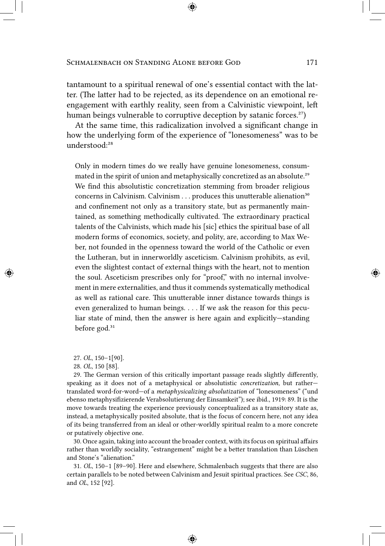tantamount to a spiritual renewal of one's essential contact with the latter. (The latter had to be rejected, as its dependence on an emotional reengagement with earthly reality, seen from a Calvinistic viewpoint, left human beings vulnerable to corruptive deception by satanic forces.<sup>27</sup>)

At the same time, this radicalization involved a significant change in how the underlying form of the experience of "lonesomeness" was to be understood:<sup>28</sup>

Only in modern times do we really have genuine lonesomeness, consummated in the spirit of union and metaphysically concretized as an absolute.<sup>29</sup> We find this absolutistic concretization stemming from broader religious concerns in Calvinism. Calvinism . . . produces this unutterable alienation<sup>30</sup> and confinement not only as a transitory state, but as permanently maintained, as something methodically cultivated. The extraordinary practical talents of the Calvinists, which made his [sic] ethics the spiritual base of all modern forms of economics, society, and polity, are, according to Max Weber, not founded in the openness toward the world of the Catholic or even the Lutheran, but in innerworldly asceticism. Calvinism prohibits, as evil, even the slightest contact of external things with the heart, not to mention the soul. Asceticism prescribes only for "proof," with no internal involvement in mere externalities, and thus it commends systematically methodical as well as rational care. This unutterable inner distance towards things is even generalized to human beings. . . . If we ask the reason for this peculiar state of mind, then the answer is here again and explicitly—standing before god. $31$ 

27. *OL*, 150–1[90].

28. *OL*, 150 [88].

29. The German version of this critically important passage reads slightly differently, speaking as it does not of a metaphysical or absolutistic *concretization*, but rather translated word-for-word—of a *metaphysicalizing absolutization* of "lonesomeness" ("und ebenso metaphysifizierende Verabsolutierung der Einsamkeit"); see ibid., 1919: 89. It is the move towards treating the experience previously conceptualized as a transitory state as, instead, a metaphysically posited absolute, that is the focus of concern here, not any idea of its being transferred from an ideal or other-worldly spiritual realm to a more concrete or putatively objective one.

30. Once again, taking into account the broader context, with its focus on spiritual affairs rather than worldly sociality, "estrangement" might be a better translation than Lüschen and Stone's "alienation."

31. *OL*, 150–1 [89–90]. Here and elsewhere, Schmalenbach suggests that there are also certain parallels to be noted between Calvinism and Jesuit spiritual practices. See *CSC*, 86, and *OL*, 152 [92].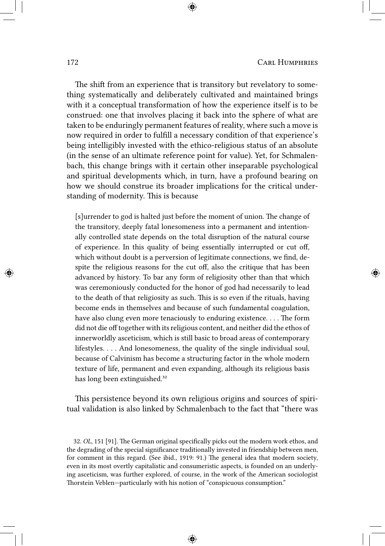The shift from an experience that is transitory but revelatory to something systematically and deliberately cultivated and maintained brings with it a conceptual transformation of how the experience itself is to be construed: one that involves placing it back into the sphere of what are taken to be enduringly permanent features of reality, where such a move is now required in order to fulfill a necessary condition of that experience's being intelligibly invested with the ethico-religious status of an absolute (in the sense of an ultimate reference point for value). Yet, for Schmalenbach, this change brings with it certain other inseparable psychological and spiritual developments which, in turn, have a profound bearing on how we should construe its broader implications for the critical understanding of modernity. This is because

[s]urrender to god is halted just before the moment of union. The change of the transitory, deeply fatal lonesomeness into a permanent and intentionally controlled state depends on the total disruption of the natural course of experience. In this quality of being essentially interrupted or cut off, which without doubt is a perversion of legitimate connections, we find, despite the religious reasons for the cut off, also the critique that has been advanced by history. To bar any form of religiosity other than that which was ceremoniously conducted for the honor of god had necessarily to lead to the death of that religiosity as such. This is so even if the rituals, having become ends in themselves and because of such fundamental coagulation, have also clung even more tenaciously to enduring existence. . . . The form did not die off together with its religious content, and neither did the ethos of innerworldly asceticism, which is still basic to broad areas of contemporary lifestyles. . . . And lonesomeness, the quality of the single individual soul, because of Calvinism has become a structuring factor in the whole modern texture of life, permanent and even expanding, although its religious basis has long been extinguished.<sup>32</sup>

This persistence beyond its own religious origins and sources of spiritual validation is also linked by Schmalenbach to the fact that "there was

<sup>32.</sup> *OL*, 151 [91]. The German original specifically picks out the modern work ethos, and the degrading of the special significance traditionally invested in friendship between men, for comment in this regard. (See ibid., 1919: 91.) The general idea that modern society, even in its most overtly capitalistic and consumeristic aspects, is founded on an underlying asceticism, was further explored, of course, in the work of the American sociologist Thorstein Veblen—particularly with his notion of "conspicuous consumption."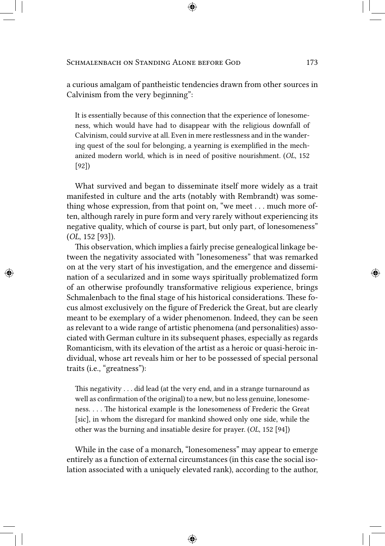a curious amalgam of pantheistic tendencies drawn from other sources in Calvinism from the very beginning":

It is essentially because of this connection that the experience of lonesomeness, which would have had to disappear with the religious downfall of Calvinism, could survive at all. Even in mere restlessness and in the wandering quest of the soul for belonging, a yearning is exemplified in the mechanized modern world, which is in need of positive nourishment. (*OL*, 152 [92])

What survived and began to disseminate itself more widely as a trait manifested in culture and the arts (notably with Rembrandt) was something whose expression, from that point on, "we meet . . . much more often, although rarely in pure form and very rarely without experiencing its negative quality, which of course is part, but only part, of lonesomeness" (*OL*, 152 [93]).

This observation, which implies a fairly precise genealogical linkage between the negativity associated with "lonesomeness" that was remarked on at the very start of his investigation, and the emergence and dissemination of a secularized and in some ways spiritually problematized form of an otherwise profoundly transformative religious experience, brings Schmalenbach to the final stage of his historical considerations. These focus almost exclusively on the figure of Frederick the Great, but are clearly meant to be exemplary of a wider phenomenon. Indeed, they can be seen as relevant to a wide range of artistic phenomena (and personalities) associated with German culture in its subsequent phases, especially as regards Romanticism, with its elevation of the artist as a heroic or quasi-heroic individual, whose art reveals him or her to be possessed of special personal traits (i.e., "greatness"):

This negativity . . . did lead (at the very end, and in a strange turnaround as well as confirmation of the original) to a new, but no less genuine, lonesomeness. . . . The historical example is the lonesomeness of Frederic the Great [sic], in whom the disregard for mankind showed only one side, while the other was the burning and insatiable desire for prayer. (*OL*, 152 [94])

While in the case of a monarch, "lonesomeness" may appear to emerge entirely as a function of external circumstances (in this case the social isolation associated with a uniquely elevated rank), according to the author,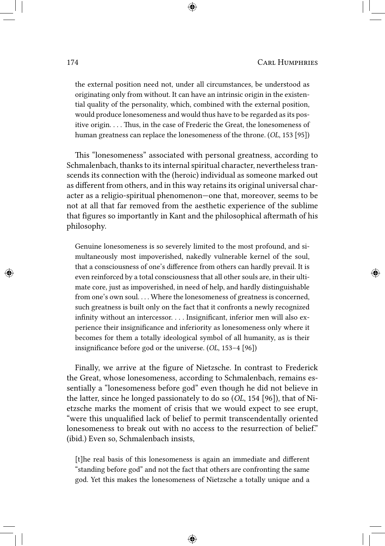the external position need not, under all circumstances, be understood as originating only from without. It can have an intrinsic origin in the existential quality of the personality, which, combined with the external position, would produce lonesomeness and would thus have to be regarded as its positive origin. . . . Thus, in the case of Frederic the Great, the lonesomeness of human greatness can replace the lonesomeness of the throne. (*OL*, 153 [95])

This "lonesomeness" associated with personal greatness, according to Schmalenbach, thanks to its internal spiritual character, nevertheless transcends its connection with the (heroic) individual as someone marked out as different from others, and in this way retains its original universal character as a religio-spiritual phenomenon—one that, moreover, seems to be not at all that far removed from the aesthetic experience of the sublime that figures so importantly in Kant and the philosophical aftermath of his philosophy.

Genuine lonesomeness is so severely limited to the most profound, and simultaneously most impoverished, nakedly vulnerable kernel of the soul, that a consciousness of one's difference from others can hardly prevail. It is even reinforced by a total consciousness that all other souls are, in their ultimate core, just as impoverished, in need of help, and hardly distinguishable from one's own soul.... Where the lonesomeness of greatness is concerned, such greatness is built only on the fact that it confronts a newly recognized infinity without an intercessor. . . . Insignificant, inferior men will also experience their insignificance and inferiority as lonesomeness only where it becomes for them a totally ideological symbol of all humanity, as is their insignificance before god or the universe. (*OL*, 153–4 [96])

Finally, we arrive at the figure of Nietzsche. In contrast to Frederick the Great, whose lonesomeness, according to Schmalenbach, remains essentially a "lonesomeness before god" even though he did not believe in the latter, since he longed passionately to do so (*OL*, 154 [96]), that of Nietzsche marks the moment of crisis that we would expect to see erupt, "were this unqualified lack of belief to permit transcendentally oriented lonesomeness to break out with no access to the resurrection of belief." (ibid.) Even so, Schmalenbach insists,

[t]he real basis of this lonesomeness is again an immediate and different "standing before god" and not the fact that others are confronting the same god. Yet this makes the lonesomeness of Nietzsche a totally unique and a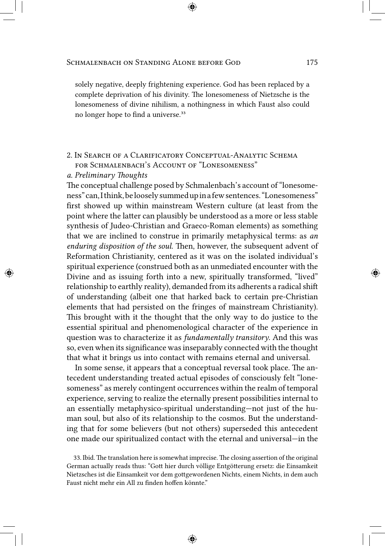solely negative, deeply frightening experience. God has been replaced by a complete deprivation of his divinity. The lonesomeness of Nietzsche is the lonesomeness of divine nihilism, a nothingness in which Faust also could no longer hope to find a universe.<sup>33</sup>

# 2. In Search of a Clarificatory Conceptual-Analytic Schema for Schmalenbach's Account of "Lonesomeness"

### *a. Preliminary Thoughts*

The conceptual challenge posed by Schmalenbach's account of "lonesomeness" can,I think,beloosely summed upina few sentences. "Lonesomeness" first showed up within mainstream Western culture (at least from the point where the latter can plausibly be understood as a more or less stable synthesis of Judeo-Christian and Graeco-Roman elements) as something that we are inclined to construe in primarily metaphysical terms: as *an enduring disposition of the soul*. Then, however, the subsequent advent of Reformation Christianity, centered as it was on the isolated individual's spiritual experience (construed both as an unmediated encounter with the Divine and as issuing forth into a new, spiritually transformed, "lived" relationship to earthly reality), demanded from its adherents a radical shift of understanding (albeit one that harked back to certain pre-Christian elements that had persisted on the fringes of mainstream Christianity). This brought with it the thought that the only way to do justice to the essential spiritual and phenomenological character of the experience in question was to characterize it as *fundamentally transitory*. And this was so, even when its significance was inseparably connected with the thought that what it brings us into contact with remains eternal and universal.

In some sense, it appears that a conceptual reversal took place. The antecedent understanding treated actual episodes of consciously felt "lonesomeness" as merely contingent occurrences within the realm of temporal experience, serving to realize the eternally present possibilities internal to an essentially metaphysico-spiritual understanding—not just of the human soul, but also of its relationship to the cosmos. But the understanding that for some believers (but not others) superseded this antecedent one made our spiritualized contact with the eternal and universal—in the

<sup>33.</sup> Ibid. The translation here is somewhat imprecise. The closing assertion of the original German actually reads thus: "Gott hier durch völlige Entgötterung ersetz: die Einsamkeit Nietzsches ist die Einsamkeit vor dem gottgewordenen Nichts, einem Nichts, in dem auch Faust nicht mehr ein All zu finden hoffen könnte."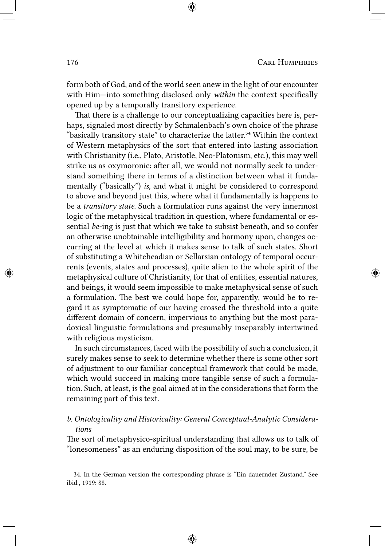form both of God, and of the world seen anew in the light of our encounter with Him—into something disclosed only *within* the context specifically opened up by a temporally transitory experience.

That there is a challenge to our conceptualizing capacities here is, perhaps, signaled most directly by Schmalenbach's own choice of the phrase "basically transitory state" to characterize the latter.<sup>34</sup> Within the context of Western metaphysics of the sort that entered into lasting association with Christianity (i.e., Plato, Aristotle, Neo-Platonism, etc.), this may well strike us as oxymoronic: after all, we would not normally seek to understand something there in terms of a distinction between what it fundamentally ("basically") *is*, and what it might be considered to correspond to above and beyond just this, where what it fundamentally is happens to be a *transitory state*. Such a formulation runs against the very innermost logic of the metaphysical tradition in question, where fundamental or essential *be*-ing is just that which we take to subsist beneath, and so confer an otherwise unobtainable intelligibility and harmony upon, changes occurring at the level at which it makes sense to talk of such states. Short of substituting a Whiteheadian or Sellarsian ontology of temporal occurrents (events, states and processes), quite alien to the whole spirit of the metaphysical culture of Christianity, for that of entities, essential natures, and beings, it would seem impossible to make metaphysical sense of such a formulation. The best we could hope for, apparently, would be to regard it as symptomatic of our having crossed the threshold into a quite different domain of concern, impervious to anything but the most paradoxical linguistic formulations and presumably inseparably intertwined with religious mysticism.

In such circumstances, faced with the possibility of such a conclusion, it surely makes sense to seek to determine whether there is some other sort of adjustment to our familiar conceptual framework that could be made, which would succeed in making more tangible sense of such a formulation. Such, at least, is the goal aimed at in the considerations that form the remaining part of this text.

### *b. Ontologicality and Historicality: General Conceptual-Analytic Considerations*

The sort of metaphysico-spiritual understanding that allows us to talk of "lonesomeness" as an enduring disposition of the soul may, to be sure, be

34. In the German version the corresponding phrase is "Ein dauernder Zustand." See ibid., 1919: 88.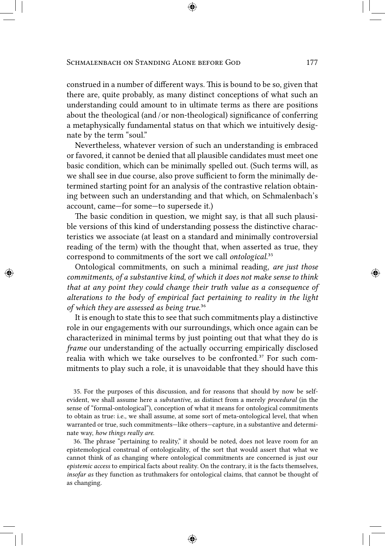construed in a number of different ways. This is bound to be so, given that there are, quite probably, as many distinct conceptions of what such an understanding could amount to in ultimate terms as there are positions about the theological (and / or non-theological) significance of conferring a metaphysically fundamental status on that which we intuitively designate by the term "soul."

Nevertheless, whatever version of such an understanding is embraced or favored, it cannot be denied that all plausible candidates must meet one basic condition, which can be minimally spelled out. (Such terms will, as we shall see in due course, also prove sufficient to form the minimally determined starting point for an analysis of the contrastive relation obtaining between such an understanding and that which, on Schmalenbach's account, came—for some—to supersede it.)

The basic condition in question, we might say, is that all such plausible versions of this kind of understanding possess the distinctive characteristics we associate (at least on a standard and minimally controversial reading of the term) with the thought that, when asserted as true, they correspond to commitments of the sort we call *ontological*.<sup>35</sup>

Ontological commitments, on such a minimal reading, *are just those commitments, of a substantive kind, of which it does not make sense to think that at any point they could change their truth value as a consequence of alterations to the body of empirical fact pertaining to reality in the light* of which they are assessed as being true.<sup>36</sup>

It is enough to state this to see that such commitments play a distinctive role in our engagements with our surroundings, which once again can be characterized in minimal terms by just pointing out that what they do is *frame* our understanding of the actually occurring empirically disclosed realia with which we take ourselves to be confronted.<sup>37</sup> For such commitments to play such a role, it is unavoidable that they should have this

35. For the purposes of this discussion, and for reasons that should by now be selfevident, we shall assume here a *substantive*, as distinct from a merely *procedural* (in the sense of "formal-ontological"), conception of what it means for ontological commitments to obtain as true: i.e., we shall assume, at some sort of meta-ontological level, that when warranted or true, such commitments—like others—capture, in a substantive and determinate way, *how things really are*.

36. The phrase "pertaining to reality," it should be noted, does not leave room for an epistemological construal of ontologicality, of the sort that would assert that what we cannot think of as changing where ontological commitments are concerned is just our *epistemic access* to empirical facts about reality. On the contrary, it is the facts themselves, *insofar as* they function as truthmakers for ontological claims, that cannot be thought of as changing.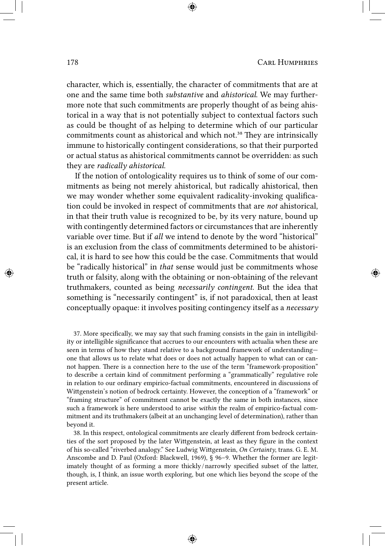character, which is, essentially, the character of commitments that are at one and the same time both *substantive* and *ahistorical*. We may furthermore note that such commitments are properly thought of as being ahistorical in a way that is not potentially subject to contextual factors such as could be thought of as helping to determine which of our particular commitments count as ahistorical and which not.<sup>38</sup> They are intrinsically immune to historically contingent considerations, so that their purported or actual status as ahistorical commitments cannot be overridden: as such they are *radically ahistorical*.

If the notion of ontologicality requires us to think of some of our commitments as being not merely ahistorical, but radically ahistorical, then we may wonder whether some equivalent radicality-invoking qualification could be invoked in respect of commitments that are *not* ahistorical, in that their truth value is recognized to be, by its very nature, bound up with contingently determined factors or circumstances that are inherently variable over time. But if *all* we intend to denote by the word "historical" is an exclusion from the class of commitments determined to be ahistorical, it is hard to see how this could be the case. Commitments that would be "radically historical" in *that* sense would just be commitments whose truth or falsity, along with the obtaining or non-obtaining of the relevant truthmakers, counted as being *necessarily contingent*. But the idea that something is "necessarily contingent" is, if not paradoxical, then at least conceptually opaque: it involves positing contingency itself as a *necessary*

37. More specifically, we may say that such framing consists in the gain in intelligibility or intelligible significance that accrues to our encounters with actualia when these are seen in terms of how they stand relative to a background framework of understanding one that allows us to relate what does or does not actually happen to what can or cannot happen. There is a connection here to the use of the term "framework-proposition" to describe a certain kind of commitment performing a "grammatically" regulative role in relation to our ordinary empirico-factual commitments, encountered in discussions of Wittgenstein's notion of bedrock certainty. However, the conception of a "framework" or "framing structure" of commitment cannot be exactly the same in both instances, since such a framework is here understood to arise *within* the realm of empirico-factual commitment and its truthmakers (albeit at an unchanging level of determination), rather than beyond it.

38. In this respect, ontological commitments are clearly different from bedrock certainties of the sort proposed by the later Wittgenstein, at least as they figure in the context of his so-called "riverbed analogy." See Ludwig Wittgenstein, *On Certainty*, trans. G. E. M. Anscombe and D. Paul (Oxford: Blackwell, 1969), § 96–9. Whether the former are legitimately thought of as forming a more thickly / narrowly specified subset of the latter, though, is, I think, an issue worth exploring, but one which lies beyond the scope of the present article.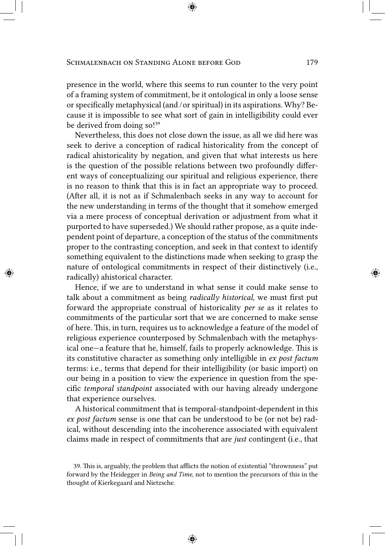presence in the world, where this seems to run counter to the very point of a framing system of commitment, be it ontological in only a loose sense or specifically metaphysical (and / or spiritual) in its aspirations. Why? Because it is impossible to see what sort of gain in intelligibility could ever be derived from doing so!<sup>39</sup>

Nevertheless, this does not close down the issue, as all we did here was seek to derive a conception of radical historicality from the concept of radical ahistoricality by negation, and given that what interests us here is the question of the possible relations between two profoundly different ways of conceptualizing our spiritual and religious experience, there is no reason to think that this is in fact an appropriate way to proceed. (After all, it is not as if Schmalenbach seeks in any way to account for the new understanding in terms of the thought that it somehow emerged via a mere process of conceptual derivation or adjustment from what it purported to have superseded.) We should rather propose, as a quite independent point of departure, a conception of the status of the commitments proper to the contrasting conception, and seek in that context to identify something equivalent to the distinctions made when seeking to grasp the nature of ontological commitments in respect of their distinctively (i.e., radically) ahistorical character.

Hence, if we are to understand in what sense it could make sense to talk about a commitment as being *radically historical*, we must first put forward the appropriate construal of historicality *per se* as it relates to commitments of the particular sort that we are concerned to make sense of here. This, in turn, requires us to acknowledge a feature of the model of religious experience counterposed by Schmalenbach with the metaphysical one—a feature that he, himself, fails to properly acknowledge. This is its constitutive character as something only intelligible in *ex post factum* terms: i.e., terms that depend for their intelligibility (or basic import) on our being in a position to view the experience in question from the specific *temporal standpoint* associated with our having already undergone that experience ourselves.

A historical commitment that is temporal-standpoint-dependent in this *ex post factum* sense is one that can be understood to be (or not be) radical, without descending into the incoherence associated with equivalent claims made in respect of commitments that are *just* contingent (i.e., that

<sup>39.</sup> This is, arguably, the problem that afflicts the notion of existential "thrownness" put forward by the Heidegger in *Being and Time*, not to mention the precursors of this in the thought of Kierkegaard and Nietzsche.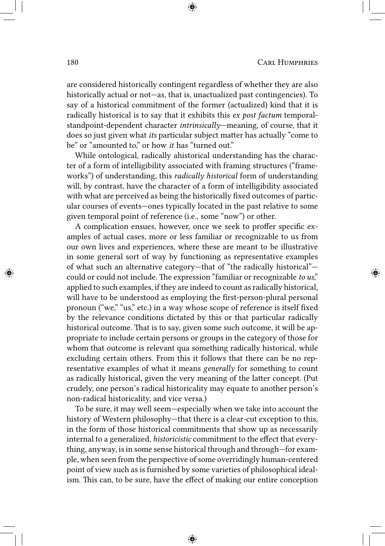are considered historically contingent regardless of whether they are also historically actual or not—as, that is, unactualized past contingencies). To say of a historical commitment of the former (actualized) kind that it is radically historical is to say that it exhibits this *ex post factum* temporalstandpoint-dependent character *intrinsically*—meaning, of course, that it does so just given what *its* particular subject matter has actually "come to be" or "amounted to," or how *it* has "turned out."

While ontological, radically ahistorical understanding has the character of a form of intelligibility associated with framing structures ("frameworks") of understanding, this *radically historical* form of understanding will, by contrast, have the character of a form of intelligibility associated with what are perceived as being the historically fixed outcomes of particular courses of events—ones typically located in the past relative to some given temporal point of reference (i.e., some "now") or other.

A complication ensues, however, once we seek to proffer specific examples of actual cases, more or less familiar or recognizable to us from our own lives and experiences, where these are meant to be illustrative in some general sort of way by functioning as representative examples of what such an alternative category—that of "the radically historical" could or could not include. The expression "familiar or recognizable *to us*," applied to such examples, if they are indeed to count as radically historical, will have to be understood as employing the first-person-plural personal pronoun ("we," "us," etc.) in a way whose scope of reference is itself fixed by the relevance conditions dictated by this or that particular radically historical outcome. That is to say, given some such outcome, it will be appropriate to include certain persons or groups in the category of those for whom that outcome is relevant qua something radically historical, while excluding certain others. From this it follows that there can be no representative examples of what it means *generally* for something to count as radically historical, given the very meaning of the latter concept. (Put crudely, one person's radical historicality may equate to another person's non-radical historicality, and vice versa.)

To be sure, it may well seem—especially when we take into account the history of Western philosophy—that there is a clear-cut exception to this, in the form of those historical commitments that show up as necessarily internal to a generalized, *historicistic* commitment to the effect that everything, anyway, is in some sense historical through and through—for example, when seen from the perspective of some overridingly human-centered point of view such as is furnished by some varieties of philosophical idealism. This can, to be sure, have the effect of making our entire conception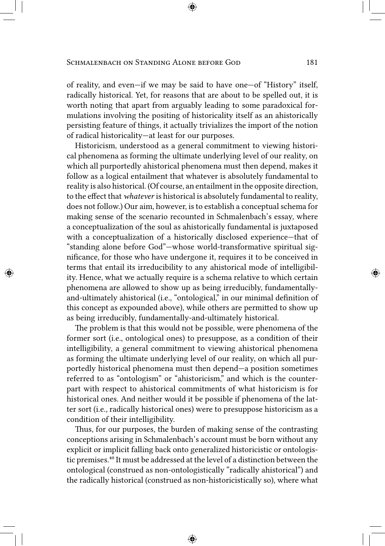of reality, and even—if we may be said to have one—of "History" itself, radically historical. Yet, for reasons that are about to be spelled out, it is worth noting that apart from arguably leading to some paradoxical formulations involving the positing of historicality itself as an ahistorically persisting feature of things, it actually trivializes the import of the notion of radical historicality—at least for our purposes.

Historicism, understood as a general commitment to viewing historical phenomena as forming the ultimate underlying level of our reality, on which all purportedly ahistorical phenomena must then depend, makes it follow as a logical entailment that whatever is absolutely fundamental to reality is also historical. (Of course, an entailment in the opposite direction, to the effect that *whatever* is historical is absolutely fundamental to reality, does not follow.) Our aim, however, is to establish a conceptual schema for making sense of the scenario recounted in Schmalenbach's essay, where a conceptualization of the soul as ahistorically fundamental is juxtaposed with a conceptualization of a historically disclosed experience—that of "standing alone before God"—whose world-transformative spiritual significance, for those who have undergone it, requires it to be conceived in terms that entail its irreducibility to any ahistorical mode of intelligibility. Hence, what we actually require is a schema relative to which certain phenomena are allowed to show up as being irreducibly, fundamentallyand-ultimately ahistorical (i.e., "ontological," in our minimal definition of this concept as expounded above), while others are permitted to show up as being irreducibly, fundamentally-and-ultimately historical.

The problem is that this would not be possible, were phenomena of the former sort (i.e., ontological ones) to presuppose, as a condition of their intelligibility, a general commitment to viewing ahistorical phenomena as forming the ultimate underlying level of our reality, on which all purportedly historical phenomena must then depend—a position sometimes referred to as "ontologism" or "ahistoricism," and which is the counterpart with respect to ahistorical commitments of what historicism is for historical ones. And neither would it be possible if phenomena of the latter sort (i.e., radically historical ones) were to presuppose historicism as a condition of their intelligibility.

Thus, for our purposes, the burden of making sense of the contrasting conceptions arising in Schmalenbach's account must be born without any explicit or implicit falling back onto generalized historicistic or ontologistic premises.<sup>40</sup> It must be addressed at the level of a distinction between the ontological (construed as non-ontologistically "radically ahistorical") and the radically historical (construed as non-historicistically so), where what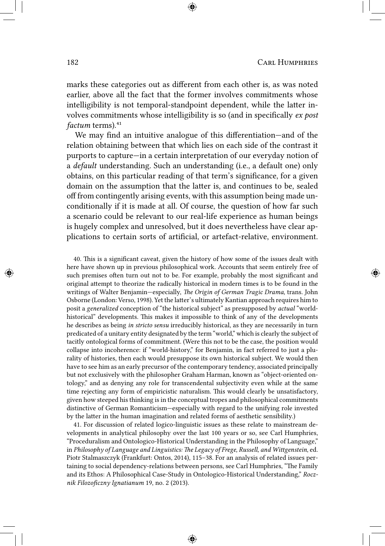marks these categories out as different from each other is, as was noted earlier, above all the fact that the former involves commitments whose intelligibility is not temporal-standpoint dependent, while the latter involves commitments whose intelligibility is so (and in specifically *ex post factum* terms).<sup>41</sup>

We may find an intuitive analogue of this differentiation—and of the relation obtaining between that which lies on each side of the contrast it purports to capture—in a certain interpretation of our everyday notion of a *default* understanding. Such an understanding (i.e., a default one) only obtains, on this particular reading of that term's significance, for a given domain on the assumption that the latter is, and continues to be, sealed off from contingently arising events, with this assumption being made unconditionally if it is made at all. Of course, the question of how far such a scenario could be relevant to our real-life experience as human beings is hugely complex and unresolved, but it does nevertheless have clear applications to certain sorts of artificial, or artefact-relative, environment.

40. This is a significant caveat, given the history of how some of the issues dealt with here have shown up in previous philosophical work. Accounts that seem entirely free of such premises often turn out not to be. For example, probably the most significant and original attempt to theorize the radically historical in modern times is to be found in the writings of Walter Benjamin—especially, *The Origin of German Tragic Drama*, trans. John Osborne (London: Verso, 1998). Yet the latter's ultimately Kantian approach requires him to posit a *generalized* conception of "the historical subject" as presupposed by *actual* "worldhistorical" developments. This makes it impossible to think of any of the developments he describes as being *in stricto sensu* irreducibly historical, as they are necessarily in turn predicated of a unitary entity designated by the term "world," which is clearly the subject of tacitly ontological forms of commitment. (Were this not to be the case, the position would collapse into incoherence: if "world-history," for Benjamin, in fact referred to just a plurality of histories, then each would presuppose its own historical subject. We would then have to see him as an early precursor of the contemporary tendency, associated principally but not exclusively with the philosopher Graham Harman, known as "object-oriented ontology," and as denying any role for transcendental subjectivity even while at the same time rejecting any form of empiricistic naturalism. This would clearly be unsatisfactory, given how steeped his thinking is in the conceptual tropes and philosophical commitments distinctive of German Romanticism—especially with regard to the unifying role invested by the latter in the human imagination and related forms of aesthetic sensibility.)

41. For discussion of related logico-linguistic issues as these relate to mainstream developments in analytical philosophy over the last 100 years or so, see Carl Humphries, "Proceduralism and Ontologico-Historical Understanding in the Philosophy of Language," in *Philosophy of Language and Linguistics: The Legacy of Frege, Russell, and Wittgenstein*, ed. Piotr Stalmaszczyk (Frankfurt: Ontos, 2014), 115–38. For an analysis of related issues pertaining to social dependency-relations between persons, see Carl Humphries, "The Family and its Ethos: A Philosophical Case-Study in Ontologico-Historical Understanding," *Rocznik Filozoficzny Ignatianum* 19, no. 2 (2013).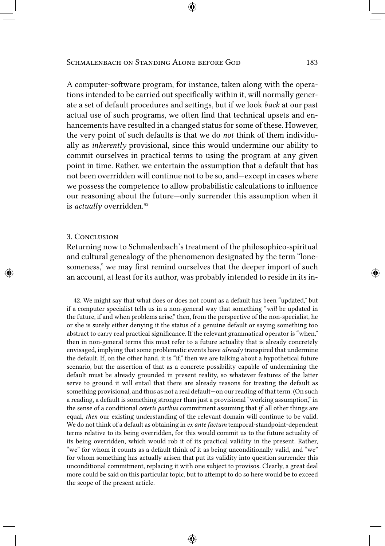A computer-software program, for instance, taken along with the operations intended to be carried out specifically within it, will normally generate a set of default procedures and settings, but if we look *back* at our past actual use of such programs, we often find that technical upsets and enhancements have resulted in a changed status for some of these. However, the very point of such defaults is that we do *not* think of them individually as *inherently* provisional, since this would undermine our ability to commit ourselves in practical terms to using the program at any given point in time. Rather, we entertain the assumption that a default that has not been overridden will continue not to be so, and—except in cases where we possess the competence to allow probabilistic calculations to influence our reasoning about the future—only surrender this assumption when it is *actually* overridden.<sup>42</sup>

### 3. Conclusion

Returning now to Schmalenbach's treatment of the philosophico-spiritual and cultural genealogy of the phenomenon designated by the term "lonesomeness," we may first remind ourselves that the deeper import of such an account, at least for its author, was probably intended to reside in its in-

42. We might say that what does or does not count as a default has been "updated," but if a computer specialist tells us in a non-general way that something "*will* be updated in the future, if and when problems arise," then, from the perspective of the non-specialist, he or she is surely either denying it the status of a genuine default or saying something too abstract to carry real practical significance. If the relevant grammatical operator is "when," then in non-general terms this must refer to a future actuality that is already concretely envisaged, implying that some problematic events have *already* transpired that undermine the default. If, on the other hand, it is "if," then we are talking about a hypothetical future scenario, but the assertion of that as a concrete possibility capable of undermining the default must be already grounded in present reality, so whatever features of the latter serve to ground it will entail that there are already reasons for treating the default as something provisional, and thus as not a real default—on our reading of that term. (On such a reading, a default is something stronger than just a provisional "working assumption," in the sense of a conditional *ceteris paribus* commitment assuming that *if* all other things are equal, *then* our existing understanding of the relevant domain will continue to be valid. We do not think of a default as obtaining in *ex ante factum* temporal-standpoint-dependent terms relative to its being overridden, for this would commit us to the future actuality of its being overridden, which would rob it of its practical validity in the present. Rather, "we" for whom it counts as a default think of it as being unconditionally valid, and "we" for whom something has actually arisen that put its validity into question surrender this unconditional commitment, replacing it with one subject to provisos. Clearly, a great deal more could be said on this particular topic, but to attempt to do so here would be to exceed the scope of the present article.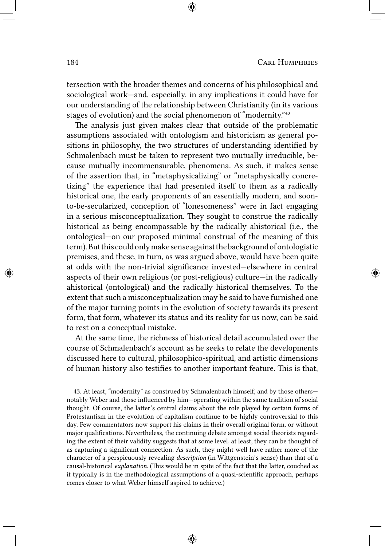tersection with the broader themes and concerns of his philosophical and sociological work—and, especially, in any implications it could have for our understanding of the relationship between Christianity (in its various stages of evolution) and the social phenomenon of "modernity."<sup>43</sup>

The analysis just given makes clear that outside of the problematic assumptions associated with ontologism and historicism as general positions in philosophy, the two structures of understanding identified by Schmalenbach must be taken to represent two mutually irreducible, because mutually incommensurable, phenomena. As such, it makes sense of the assertion that, in "metaphysicalizing" or "metaphysically concretizing" the experience that had presented itself to them as a radically historical one, the early proponents of an essentially modern, and soonto-be-secularized, conception of "lonesomeness" were in fact engaging in a serious misconceptualization. They sought to construe the radically historical as being encompassable by the radically ahistorical (i.e., the ontological—on our proposed minimal construal of the meaning of this term).But this could onlymake senseagainst thebackground of ontologistic premises, and these, in turn, as was argued above, would have been quite at odds with the non-trivial significance invested—elsewhere in central aspects of their own religious (or post-religious) culture—in the radically ahistorical (ontological) and the radically historical themselves. To the extent that such a misconceptualization may be said to have furnished one of the major turning points in the evolution of society towards its present form, that form, whatever its status and its reality for us now, can be said to rest on a conceptual mistake.

At the same time, the richness of historical detail accumulated over the course of Schmalenbach's account as he seeks to relate the developments discussed here to cultural, philosophico-spiritual, and artistic dimensions of human history also testifies to another important feature. This is that,

43. At least, "modernity" as construed by Schmalenbach himself, and by those others notably Weber and those influenced by him—operating within the same tradition of social thought. Of course, the latter's central claims about the role played by certain forms of Protestantism in the evolution of capitalism continue to be highly controversial to this day. Few commentators now support his claims in their overall original form, or without major qualifications. Nevertheless, the continuing debate amongst social theorists regarding the extent of their validity suggests that at some level, at least, they can be thought of as capturing a significant connection. As such, they might well have rather more of the character of a perspicuously revealing *description* (in Wittgenstein's sense) than that of a causal-historical *explanation*. (This would be in spite of the fact that the latter, couched as it typically is in the methodological assumptions of a quasi-scientific approach, perhaps comes closer to what Weber himself aspired to achieve.)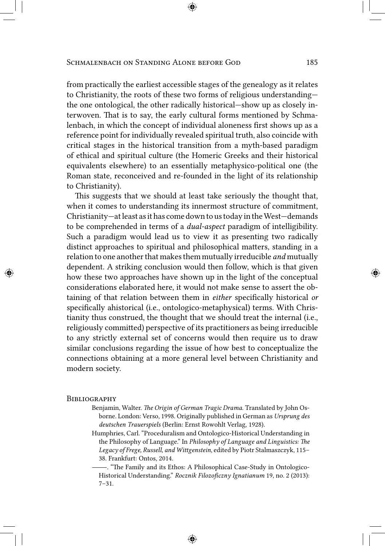from practically the earliest accessible stages of the genealogy as it relates to Christianity, the roots of these two forms of religious understanding the one ontological, the other radically historical—show up as closely interwoven. That is to say, the early cultural forms mentioned by Schmalenbach, in which the concept of individual aloneness first shows up as a reference point for individually revealed spiritual truth, also coincide with critical stages in the historical transition from a myth-based paradigm of ethical and spiritual culture (the Homeric Greeks and their historical equivalents elsewhere) to an essentially metaphysico-political one (the Roman state, reconceived and re-founded in the light of its relationship to Christianity).

This suggests that we should at least take seriously the thought that, when it comes to understanding its innermost structure of commitment, Christianity—at least asit has come down to us todayin theWest—demands to be comprehended in terms of a *dual-aspect* paradigm of intelligibility. Such a paradigm would lead us to view it as presenting two radically distinct approaches to spiritual and philosophical matters, standing in a relation to one another that makes them mutually irreducible *and* mutually dependent. A striking conclusion would then follow, which is that given how these two approaches have shown up in the light of the conceptual considerations elaborated here, it would not make sense to assert the obtaining of that relation between them in *either* specifically historical *or* specifically ahistorical (i.e., ontologico-metaphysical) terms. With Christianity thus construed, the thought that we should treat the internal (i.e., religiously committed) perspective of its practitioners as being irreducible to any strictly external set of concerns would then require us to draw similar conclusions regarding the issue of how best to conceptualize the connections obtaining at a more general level between Christianity and modern society.

#### **BIBLIOGRAPHY**

- Benjamin, Walter. *The Origin of German Tragic Drama*. Translated by John Osborne. London: Verso, 1998. Originally published in German as *Ursprung des deutschen Trauerspiels* (Berlin: Ernst Rowohlt Verlag, 1928).
- Humphries, Carl. "Proceduralism and Ontologico-Historical Understanding in the Philosophy of Language." In *Philosophy of Language and Linguistics: The Legacy of Frege, Russell, and Wittgenstein*, edited by Piotr Stalmaszczyk, 115– 38. Frankfurt: Ontos, 2014.
- . "The Family and its Ethos: A Philosophical Case-Study in Ontologico-Historical Understanding." *Rocznik Filozoficzny Ignatianum* 19, no. 2 (2013): 7–31.